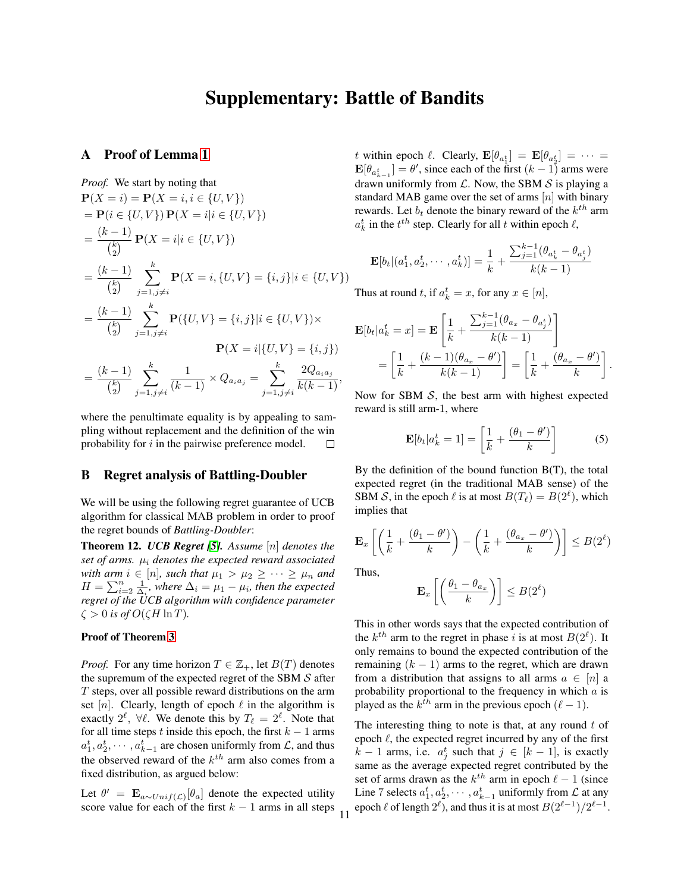# Supplementary: Battle of Bandits

## A Proof of Lemma 1

Proof. We start by noting that  
\n
$$
\mathbf{P}(X = i) = \mathbf{P}(X = i, i \in \{U, V\})
$$
\n
$$
= \mathbf{P}(i \in \{U, V\}) \mathbf{P}(X = i | i \in \{U, V\})
$$
\n
$$
= \frac{(k-1)}{\binom{k}{2}} \mathbf{P}(X = i | i \in \{U, V\})
$$
\n
$$
= \frac{(k-1)}{\binom{k}{2}} \sum_{j=1, j \neq i}^{k} \mathbf{P}(X = i, \{U, V\} = \{i, j\} | i \in \{U, V\})
$$
\n
$$
= \frac{(k-1)}{\binom{k}{2}} \sum_{j=1, j \neq i}^{k} \mathbf{P}(\{U, V\} = \{i, j\} | i \in \{U, V\}) \times
$$
\n
$$
\mathbf{P}(X = i | \{U, V\} = \{i, j\})
$$
\n
$$
= \frac{(k-1)}{\binom{k}{2}} \sum_{j=1, j \neq i}^{k} \frac{1}{(k-1)} \times Q_{a_i a_j} = \sum_{j=1, j \neq i}^{k} \frac{2Q_{a_i a_j}}{k(k-1)},
$$

where the penultimate equality is by appealing to sampling without replacement and the definition of the win probability for  $i$  in the pairwise preference model. П

## B Regret analysis of Battling-Doubler

We will be using the following regret guarantee of UCB algorithm for classical MAB problem in order to proof the regret bounds of *Battling-Doubler*:

<span id="page-0-1"></span>Theorem 12. *UCB Regret [5]. Assume* [n] *denotes the set of arms.* µ<sup>i</sup> *denotes the expected reward associated with arm*  $i \in [n]$ *, such that*  $\mu_1 > \mu_2 \geq \cdots \geq \mu_n$  *and*  $H = \sum_{i=2}^{n} \frac{1}{\Delta_i}$ , where  $\Delta_i = \mu_1 - \mu_i$ , then the expected *regret of the UCB algorithm with confidence parameter*  $\zeta > 0$  *is of*  $O(\zeta H \ln T)$ .

#### Proof of Theorem 3

*Proof.* For any time horizon  $T \in \mathbb{Z}_+$ , let  $B(T)$  denotes the supremum of the expected regret of the SBM  $S$  after T steps, over all possible reward distributions on the arm set [n]. Clearly, length of epoch  $\ell$  in the algorithm is exactly  $2^{\ell}$ ,  $\forall \ell$ . We denote this by  $T_{\ell} = 2^{\ell}$ . Note that for all time steps t inside this epoch, the first  $k - 1$  arms  $a_1^t, a_2^t, \cdots, a_{k-1}^t$  are chosen uniformly from  $\mathcal{L}$ , and thus the observed reward of the  $k^{th}$  arm also comes from a fixed distribution, as argued below:

Let  $\theta' = \mathbf{E}_{a \sim Unif(\mathcal{L})}[\theta_a]$  denote the expected utility score value for each of the first  $k - 1$  arms in all steps

t within epoch  $\ell$ . Clearly,  $\mathbf{E}[\theta_{a_1^t}] = \mathbf{E}[\theta_{a_2^t}] = \cdots =$  $\mathbf{E}[\theta_{a_{k-1}^t}] = \theta'$ , since each of the first  $(k-1)$  arms were drawn uniformly from  $\mathcal{L}$ . Now, the SBM  $\mathcal{S}$  is playing a standard MAB game over the set of arms  $[n]$  with binary rewards. Let  $b_t$  denote the binary reward of the  $k^{th}$  arm  $a_k^t$  in the  $t^{th}$  step. Clearly for all t within epoch  $\ell$ ,

$$
\mathbf{E}[b_t|(a_1^t, a_2^t, \cdots, a_k^t)]=\frac{1}{k}+\frac{\sum_{j=1}^{k-1}(\theta_{a_k^t}-\theta_{a_j^t})}{k(k-1)}
$$

Thus at round t, if  $a_k^t = x$ , for any  $x \in [n]$ ,

$$
\mathbf{E}[b_t|a_k^t = x] = \mathbf{E}\left[\frac{1}{k} + \frac{\sum_{j=1}^{k-1}(\theta_{a_x} - \theta_{a_j^t})}{k(k-1)}\right]
$$

$$
= \left[\frac{1}{k} + \frac{(k-1)(\theta_{a_x} - \theta')}{k(k-1)}\right] = \left[\frac{1}{k} + \frac{(\theta_{a_x} - \theta')}{k}\right].
$$

Now for SBM  $S$ , the best arm with highest expected reward is still arm-1, where

<span id="page-0-0"></span>
$$
\mathbf{E}[b_t|a_k^t = 1] = \left[\frac{1}{k} + \frac{(\theta_1 - \theta')}{k}\right]
$$
 (5)

By the definition of the bound function  $B(T)$ , the total expected regret (in the traditional MAB sense) of the SBM S, in the epoch  $\ell$  is at most  $B(T_\ell) = B(2^\ell)$ , which implies that

$$
\mathbf{E}_x \left[ \left( \frac{1}{k} + \frac{(\theta_1 - \theta')}{k} \right) - \left( \frac{1}{k} + \frac{(\theta_{a_x} - \theta')}{k} \right) \right] \le B(2^{\ell})
$$

Thus,

11

$$
\mathbf{E}_x \left[ \left( \frac{\theta_1 - \theta_{a_x}}{k} \right) \right] \le B(2^{\ell})
$$

This in other words says that the expected contribution of the  $k^{th}$  arm to the regret in phase i is at most  $B(2^{\ell})$ . It only remains to bound the expected contribution of the remaining  $(k - 1)$  arms to the regret, which are drawn from a distribution that assigns to all arms  $a \in [n]$  a probability proportional to the frequency in which  $a$  is played as the  $k^{th}$  arm in the previous epoch  $(\ell - 1)$ .

The interesting thing to note is that, at any round  $t$  of epoch  $\ell$ , the expected regret incurred by any of the first  $k-1$  arms, i.e.  $a_j^t$  such that  $j \in [k-1]$ , is exactly same as the average expected regret contributed by the set of arms drawn as the  $k^{th}$  arm in epoch  $\ell - 1$  (since Line 7 selects  $a_1^t, a_2^t, \cdots, a_{k-1}^t$  uniformly from  $\mathcal L$  at any epoch  $\ell$  of length  $2^{\ell}$ ), and thus it is at most  $B(2^{\ell-1})/2^{\ell-1}$ .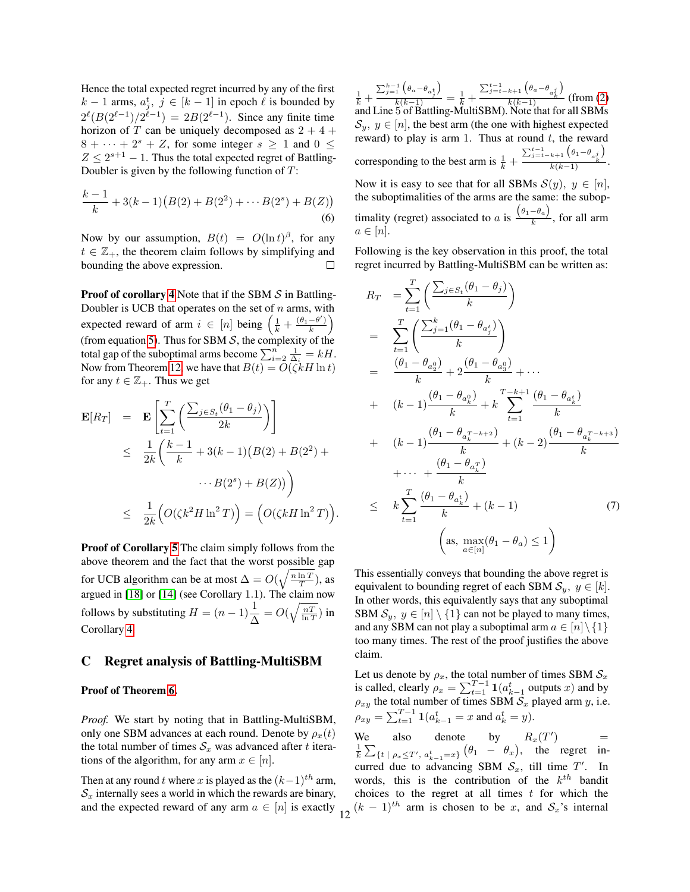Hence the total expected regret incurred by any of the first  $k-1$  arms,  $a_j^t$ ,  $j \in [k-1]$  in epoch  $\ell$  is bounded by  $2^{\ell}(B(2^{\ell-1})/2^{\ell-1}) = 2B(2^{\ell-1})$ . Since any finite time horizon of T can be uniquely decomposed as  $2 + 4 +$  $8 + \cdots + 2^{s} + Z$ , for some integer  $s \ge 1$  and  $0 \le$  $Z \leq 2^{s+1} - 1$ . Thus the total expected regret of Battling-Doubler is given by the following function of  $T$ :

$$
\frac{k-1}{k} + 3(k-1)\big(B(2) + B(2^2) + \dots + B(2^s) + B(Z)\big) \tag{6}
$$

Now by our assumption,  $B(t) = O(\ln t)^{\beta}$ , for any  $t \in \mathbb{Z}_+$ , the theorem claim follows by simplifying and bounding the above expression.  $\Box$ 

**Proof of corollary 4** Note that if the SBM  $S$  in Battling-Doubler is UCB that operates on the set of  $n$  arms, with expected reward of arm  $i \in [n]$  being  $\left(\frac{1}{k} + \frac{(\theta_1 - \theta')}{k}\right)$  $\frac{-\theta'}{k}\bigg)$ (from equation [5\)](#page-0-0). Thus for SBM  $S$ , the complexity of the total gap of the suboptimal arms become  $\sum_{i=2}^{n} \frac{1}{\Delta_i} = kH$ . Now from Theorem [12,](#page-0-1) we have that  $B(t) = O(\zeta kH \ln t)$ for any  $t \in \mathbb{Z}_+$ . Thus we get

$$
\mathbf{E}[R_T] = \mathbf{E} \left[ \sum_{t=1}^T \left( \frac{\sum_{j \in S_t} (\theta_1 - \theta_j)}{2k} \right) \right]
$$
  
\n
$$
\leq \frac{1}{2k} \left( \frac{k-1}{k} + 3(k-1)(B(2) + B(2^2) + \cdots + B(2^s) + B(Z)) \right)
$$
  
\n
$$
\leq \frac{1}{2k} \left( O(\zeta k^2 H \ln^2 T) \right) = \left( O(\zeta k H \ln^2 T) \right).
$$

Proof of Corollary 5 The claim simply follows from the above theorem and the fact that the worst possible gap for UCB algorithm can be at most  $\Delta = O(\sqrt{\frac{n \ln T}{T}})$ , as argued in [18] or [14] (see Corollary 1.1). The claim now follows by substituting  $H = (n-1)\frac{1}{\Delta} = O(\sqrt{\frac{nT}{\ln T}})$  in Corollary 4.

## C Regret analysis of Battling-MultiSBM

#### Proof of Theorem 6.

*Proof.* We start by noting that in Battling-MultiSBM, only one SBM advances at each round. Denote by  $\rho_r(t)$ the total number of times  $S_x$  was advanced after t iterations of the algorithm, for any arm  $x \in [n]$ .

Then at any round t where x is played as the  $(k-1)$ <sup>th</sup> arm,  $S<sub>x</sub>$  internally sees a world in which the rewards are binary, and the expected reward of any arm  $a \in [n]$  is exactly

 $\frac{1}{k}$  +  $\sum_{j=1}^{k-1} (\theta_a-\theta_{a_j^t})$  $\frac{1}{k(k-1)}$  =  $\frac{1}{k}$  +  $\sum_{j=t-k+1}^{t-1} \left( \theta_a - \theta_{a_k^j} \right)$  $\frac{u_{k}^{k}}{k(k-1)}$  (from (2) and Line 5 of Battling-MultiSBM). Note that for all SBMs  $\mathcal{S}_y, y \in [n]$ , the best arm (the one with highest expected reward) to play is arm 1. Thus at round  $t$ , the reward corresponding to the best arm is  $\frac{1}{k}$  +  $\frac{\sum_{j=t-k+1}^{t-1} (\theta_1 - \theta_{a_k^j})}{\sum_{j=t-k+1}^{t-1} (\theta_1 - \theta_{a_k^j})}$  $\frac{a_k}{k(k-1)}$ . Now it is easy to see that for all SBMs  $S(y)$ ,  $y \in [n]$ , the suboptimalities of the arms are the same: the suboptimality (regret) associated to a is  $\frac{(\theta_1 - \theta_a)}{k}$  $\frac{a}{k}$ , for all arm  $a \in [n]$ .

Following is the key observation in this proof, the total regret incurred by Battling-MultiSBM can be written as:

<span id="page-1-0"></span>
$$
R_{T} = \sum_{t=1}^{T} \left( \frac{\sum_{j \in S_{t}} (\theta_{1} - \theta_{j})}{k} \right)
$$
  
\n
$$
= \sum_{t=1}^{T} \left( \frac{\sum_{j=1}^{k} (\theta_{1} - \theta_{a_{j}^{t}})}{k} \right)
$$
  
\n
$$
= \frac{(\theta_{1} - \theta_{a_{2}^{0}})}{k} + 2 \frac{(\theta_{1} - \theta_{a_{3}^{0}})}{k} + \cdots
$$
  
\n
$$
+ (k-1) \frac{(\theta_{1} - \theta_{a_{k}^{0}})}{k} + k \sum_{t=1}^{T-k+1} \frac{(\theta_{1} - \theta_{a_{k}^{t}})}{k}
$$
  
\n
$$
+ (k-1) \frac{(\theta_{1} - \theta_{a_{k}^{T-k+2}})}{k} + (k-2) \frac{(\theta_{1} - \theta_{a_{k}^{T-k+3}})}{k}
$$
  
\n
$$
+ \cdots + \frac{(\theta_{1} - \theta_{a_{k}^{t}})}{k}
$$
  
\n
$$
\leq k \sum_{t=1}^{T} \frac{(\theta_{1} - \theta_{a_{k}^{t}})}{k} + (k - 1) \qquad (7)
$$
  
\n
$$
\left(\text{as, } \max_{a \in [n]} (\theta_{1} - \theta_{a}) \leq 1\right)
$$

This essentially conveys that bounding the above regret is equivalent to bounding regret of each SBM  $S_y$ ,  $y \in [k]$ . In other words, this equivalently says that any suboptimal SBM  $S_y$ ,  $y \in [n] \setminus \{1\}$  can not be played to many times, and any SBM can not play a suboptimal arm  $a \in [n] \setminus \{1\}$ too many times. The rest of the proof justifies the above claim.

Let us denote by  $\rho_x$ , the total number of times SBM  $\mathcal{S}_x$ is called, clearly  $\rho_x = \sum_{t=1}^{T-1} \mathbf{1}(a_{k-1}^t \text{ outputs } x)$  and by  $\rho_{xy}$  the total number of times SBM  $S_x$  played arm y, i.e.  $\rho_{xy} = \sum_{t=1}^{T-1} \mathbf{1}(a_{k-1}^t = x \text{ and } a_k^t = y).$ 

We also denote by  $R_x(T)$ We also denote by  $R_x(T') = \frac{1}{k} \sum_{\{t \mid \rho_x \leq T', \ a_{k-1}^t = x\}} (\theta_1 - \theta_x)$ , the regret incurred due to advancing SBM  $S_x$ , till time  $T'$ . In words, this is the contribution of the  $k^{th}$  bandit choices to the regret at all times  $t$  for which the  $(12)^{(k-1)}$  arm is chosen to be x, and  $S_x$ 's internal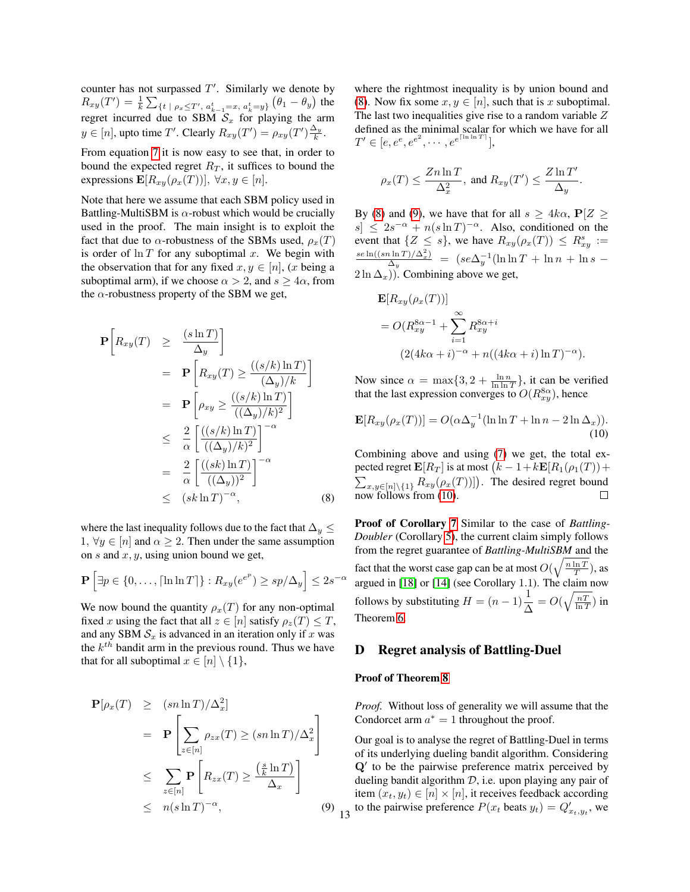counter has not surpassed  $T'$ . Similarly we denote by  $R_{xy}(T')=\frac{1}{k}\sum_{\{t\; |\; \rho_x\leq T',\; a_{k-1}^t=x,\; a_k^t=y\}}\big(\theta_1-\theta_y\big)$  the regret incurred due to SBM  $S_x$  for playing the arm  $y \in [n]$ , upto time T'. Clearly  $R_{xy}(T') = \rho_{xy}(T') \frac{\Delta_y}{k}$ .

From equation [7](#page-1-0) it is now easy to see that, in order to bound the expected regret  $R_T$ , it suffices to bound the expressions  $\mathbf{E}[R_{xy}(\rho_x(T))], \forall x, y \in [n].$ 

Note that here we assume that each SBM policy used in Battling-MultiSBM is  $\alpha$ -robust which would be crucially used in the proof. The main insight is to exploit the fact that due to  $\alpha$ -robustness of the SBMs used,  $\rho_x(T)$ is order of  $\ln T$  for any suboptimal x. We begin with the observation that for any fixed  $x, y \in [n]$ , (x being a suboptimal arm), if we choose  $\alpha > 2$ , and  $s \ge 4\alpha$ , from the  $\alpha$ -robustness property of the SBM we get,

<span id="page-2-0"></span>
$$
\mathbf{P}\left[R_{xy}(T) \geq \frac{(s \ln T)}{\Delta_y}\right] \n= \mathbf{P}\left[R_{xy}(T) \geq \frac{((s/k)\ln T)}{(\Delta_y)/k}\right] \n= \mathbf{P}\left[\rho_{xy} \geq \frac{((s/k)\ln T)}{((\Delta_y)/k)^2}\right] \n\leq \frac{2}{\alpha} \left[\frac{((s/k)\ln T)}{((\Delta_y)/k)^2}\right]^{-\alpha} \n= \frac{2}{\alpha} \left[\frac{((sk)\ln T)}{((\Delta_y))^2}\right]^{-\alpha} \n\leq (sk \ln T)^{-\alpha}, \quad (8)
$$

where the last inequality follows due to the fact that  $\Delta_y \leq$  $1, \forall y \in [n]$  and  $\alpha \geq 2$ . Then under the same assumption on  $s$  and  $x, y$ , using union bound we get,

$$
\mathbf{P}\left[\exists p \in \{0, \dots, \lceil \ln \ln T \rceil\} : R_{xy}(e^{e^p}) \ge sp/\Delta_y \right] \le 2s^{-\alpha}
$$

We now bound the quantity  $\rho_x(T)$  for any non-optimal fixed x using the fact that all  $z \in [n]$  satisfy  $\rho_z(T) \leq T$ , and any SBM  $S_x$  is advanced in an iteration only if x was the  $k^{th}$  bandit arm in the previous round. Thus we have that for all suboptimal  $x \in [n] \setminus \{1\},\$ 

<span id="page-2-1"></span>
$$
\mathbf{P}[\rho_x(T) \ge (sn \ln T)/\Delta_x^2]
$$
\n
$$
= \mathbf{P} \left[ \sum_{z \in [n]} \rho_{zx}(T) \ge (sn \ln T)/\Delta_x^2 \right]
$$
\n
$$
\le \sum_{z \in [n]} \mathbf{P} \left[ R_{zx}(T) \ge \frac{\left( \frac{s}{k} \ln T \right)}{\Delta_x} \right]
$$
\n
$$
\le n(s \ln T)^{-\alpha}, \tag{9}
$$

where the rightmost inequality is by union bound and [\(8\)](#page-2-0). Now fix some  $x, y \in [n]$ , such that is x suboptimal. The last two inequalities give rise to a random variable  $Z$ defined as the minimal scalar for which we have for all  $T' \in [e, e^e, e^{e^2}, \cdots, e^{e^{\lceil \ln \ln T \rceil}}],$ 

$$
\rho_x(T) \le \frac{Z n \ln T}{\Delta_x^2}, \text{ and } R_{xy}(T') \le \frac{Z \ln T'}{\Delta_y}
$$

<span id="page-2-2"></span>.

By [\(8\)](#page-2-0) and [\(9\)](#page-2-1), we have that for all  $s \geq 4k\alpha$ ,  $P[Z \geq$  $s \leq 2s^{-\alpha} + n(s \ln T)^{-\alpha}$ . Also, conditioned on the event that  $\{Z \leq s\}$ , we have  $R_{xy}(\rho_x(T)) \leq R_{xy}^s :=$  $se\ln((sn\ln T)/\Delta_x^2)$  $\frac{i \ln T / \Delta_x^2}{\Delta_y}$  =  $(se\Delta_y^{-1}(\ln \ln T + \ln n + \ln s (2 \ln \Delta_x)$ ). Combining above we get,

$$
\mathbf{E}[R_{xy}(\rho_x(T))]
$$
  
=  $O(R_{xy}^{8\alpha-1} + \sum_{i=1}^{\infty} R_{xy}^{8\alpha+i}$   
 $(2(4k\alpha+i)^{-\alpha} + n((4k\alpha+i)\ln T)^{-\alpha}).$ 

Now since  $\alpha = \max\{3, 2 + \frac{\ln n}{\ln \ln T}\}\$ , it can be verified that the last expression converges to  $O(R_{xy}^{8\alpha})$ , hence

$$
\mathbf{E}[R_{xy}(\rho_x(T))] = O(\alpha \Delta_y^{-1} (\ln \ln T + \ln n - 2 \ln \Delta_x)).
$$
\n(10)

Combining above and using [\(7\)](#page-1-0) we get, the total expected regret  $\mathbf{E}[R_T]$  is at most  $(k-1+k\mathbf{E}[R_1(\rho_1(T))+$  $\sum_{x,y\in[n]\setminus\{1\}} R_{xy}(\rho_x(T))]$ ). The desired regret bound now follows from [\(10\)](#page-2-2).  $\Box$ 

Proof of Corollary 7 Similar to the case of *Battling-Doubler* (Corollary 5), the current claim simply follows from the regret guarantee of *Battling-MultiSBM* and the fact that the worst case gap can be at most  $O(\sqrt{\frac{n \ln T}{T}})$ , as argued in [18] or [14] (see Corollary 1.1). The claim now follows by substituting  $H = (n-1)\frac{1}{\Delta} = O(\sqrt{\frac{nT}{\ln T}})$  in Theorem 6.

## D Regret analysis of Battling-Duel

#### Proof of Theorem 8

*Proof.* Without loss of generality we will assume that the Condorcet arm  $a^* = 1$  throughout the proof.

Our goal is to analyse the regret of Battling-Duel in terms of its underlying dueling bandit algorithm. Considering  $Q'$  to be the pairwise preference matrix perceived by dueling bandit algorithm  $D$ , i.e. upon playing any pair of item  $(x_t, y_t) \in [n] \times [n]$ , it receives feedback according to the pairwise preference  $P(x_t \text{ beats } y_t) = Q'_{x_t, y_t}$ , we 13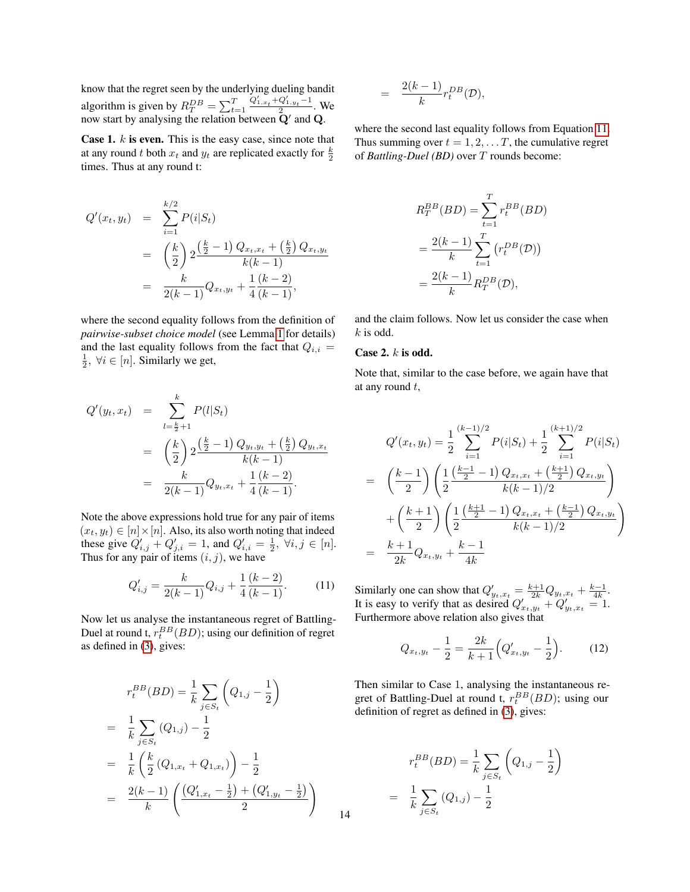know that the regret seen by the underlying dueling bandit algorithm is given by  $R_T^{DB} = \sum_{t=1}^T$  $Q'_{1,x_t} + Q'_{1,y_t} - 1$  $\frac{Q_{2, y_t}}{2}$ . We now start by analysing the relation between  $\mathbf{\bar{Q}}'$  and  $\mathbf{Q}$ .

**Case 1.**  $k$  is even. This is the easy case, since note that at any round t both  $x_t$  and  $y_t$  are replicated exactly for  $\frac{k}{2}$ times. Thus at any round t:

$$
Q'(x_t, y_t) = \sum_{i=1}^{k/2} P(i|S_t)
$$
  
= 
$$
\left(\frac{k}{2}\right) 2 \frac{\left(\frac{k}{2} - 1\right) Q_{x_t, x_t} + \left(\frac{k}{2}\right) Q_{x_t, y_t}}{k(k-1)}
$$
  
= 
$$
\frac{k}{2(k-1)} Q_{x_t, y_t} + \frac{1}{4} \frac{(k-2)}{(k-1)},
$$

where the second equality follows from the definition of *pairwise-subset choice model* (see Lemma 1 for details) and the last equality follows from the fact that  $Q_{i,i} =$  $\frac{1}{2}$ ,  $\forall i \in [n]$ . Similarly we get,

$$
Q'(y_t, x_t) = \sum_{l = \frac{k}{2} + 1}^{k} P(l|S_t)
$$
  
= 
$$
\left(\frac{k}{2}\right) 2 \frac{\left(\frac{k}{2} - 1\right) Q_{y_t, y_t} + \left(\frac{k}{2}\right) Q_{y_t, x_t}}{k(k - 1)}
$$
  
= 
$$
\frac{k}{2(k - 1)} Q_{y_t, x_t} + \frac{1}{4} \frac{(k - 2)}{(k - 1)}.
$$

Note the above expressions hold true for any pair of items  $(x_t, y_t) \in [n] \times [n]$ . Also, its also worth noting that indeed these give  $Q'_{i,j} + Q'_{j,i} = 1$ , and  $Q'_{i,i} = \frac{1}{2}$ ,  $\forall i, j \in [n]$ . Thus for any pair of items  $(i, j)$ , we have

$$
Q'_{i,j} = \frac{k}{2(k-1)}Q_{i,j} + \frac{1}{4}\frac{(k-2)}{(k-1)}.\tag{11}
$$

Now let us analyse the instantaneous regret of Battling-Duel at round t,  $r_t^{BB}(BD)$ ; using our definition of regret as defined in (3), gives:

$$
r_t^{BB}(BD) = \frac{1}{k} \sum_{j \in S_t} \left( Q_{1,j} - \frac{1}{2} \right)
$$
  
= 
$$
\frac{1}{k} \sum_{j \in S_t} (Q_{1,j}) - \frac{1}{2}
$$
  
= 
$$
\frac{1}{k} \left( \frac{k}{2} (Q_{1,x_t} + Q_{1,x_t}) \right) - \frac{1}{2}
$$
  
= 
$$
\frac{2(k-1)}{k} \left( \frac{(Q'_{1,x_t} - \frac{1}{2}) + (Q'_{1,y_t} - \frac{1}{2})}{2} \right)
$$

$$
= \frac{2(k-1)}{k} r_t^{DB}(\mathcal{D}),
$$

where the second last equality follows from Equation [11.](#page-3-0) Thus summing over  $t = 1, 2, \dots T$ , the cumulative regret of *Battling-Duel (BD)* over T rounds become:

$$
R_T^{BB}(BD) = \sum_{t=1}^T r_t^{BB}(BD)
$$

$$
= \frac{2(k-1)}{k} \sum_{t=1}^T (r_t^{DB}(\mathcal{D}))
$$

$$
= \frac{2(k-1)}{k} R_T^{DB}(\mathcal{D}),
$$

and the claim follows. Now let us consider the case when  $k$  is odd.

### Case 2. k is odd.

Note that, similar to the case before, we again have that at any round t,

$$
Q'(x_t, y_t) = \frac{1}{2} \sum_{i=1}^{(k-1)/2} P(i|S_t) + \frac{1}{2} \sum_{i=1}^{(k+1)/2} P(i|S_t)
$$
  
= 
$$
\left(\frac{k-1}{2}\right) \left(\frac{1}{2} \frac{\left(\frac{k-1}{2} - 1\right) Q_{x_t, x_t} + \left(\frac{k+1}{2}\right) Q_{x_t, y_t}}{k(k-1)/2}\right)
$$
  
+ 
$$
\left(\frac{k+1}{2}\right) \left(\frac{1}{2} \frac{\left(\frac{k+1}{2} - 1\right) Q_{x_t, x_t} + \left(\frac{k-1}{2}\right) Q_{x_t, y_t}}{k(k-1)/2}\right)
$$
  
= 
$$
\frac{k+1}{2k} Q_{x_t, y_t} + \frac{k-1}{4k}
$$

<span id="page-3-0"></span>Similarly one can show that  $Q'_{y_t, x_t} = \frac{k+1}{2k} Q_{y_t, x_t} + \frac{k-1}{4k}$ . It is easy to verify that as desired  $Q'_{x_t,y_t} + Q'_{y_t,x_t} = 1$ . Furthermore above relation also gives that

<span id="page-3-1"></span>
$$
Q_{x_t,y_t} - \frac{1}{2} = \frac{2k}{k+1} \Big( Q'_{x_t,y_t} - \frac{1}{2} \Big). \tag{12}
$$

Then similar to Case 1, analysing the instantaneous regret of Battling-Duel at round t,  $r_t^{BB}(BD)$ ; using our definition of regret as defined in (3), gives:

$$
r_t^{BB}(BD) = \frac{1}{k} \sum_{j \in S_t} \left( Q_{1,j} - \frac{1}{2} \right)
$$

$$
= \frac{1}{k} \sum_{j \in S_t} (Q_{1,j}) - \frac{1}{2}
$$

14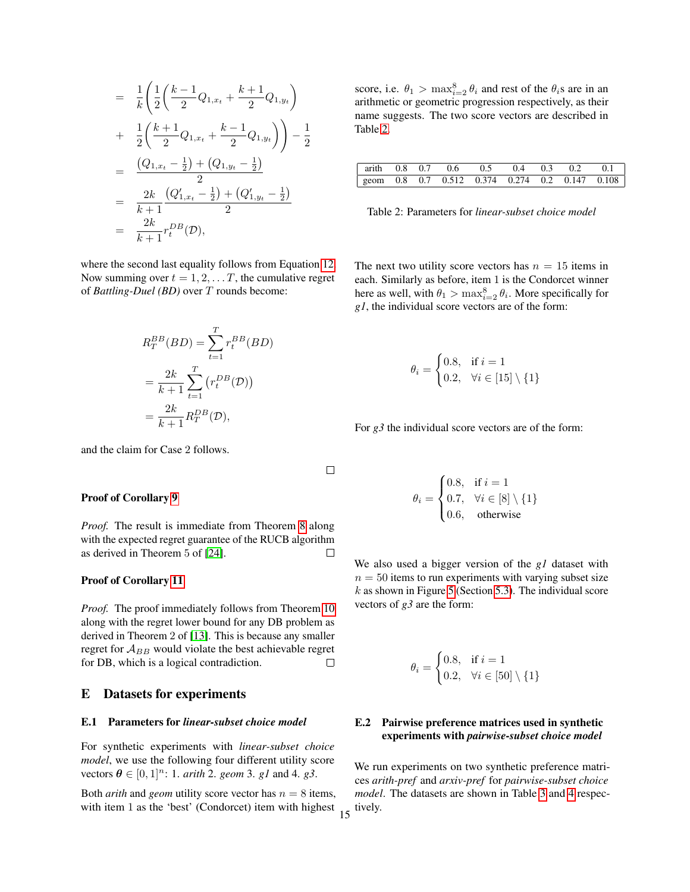$$
= \frac{1}{k} \left( \frac{1}{2} \left( \frac{k-1}{2} Q_{1,x_t} + \frac{k+1}{2} Q_{1,y_t} \right) + \frac{1}{2} \left( \frac{k+1}{2} Q_{1,x_t} + \frac{k-1}{2} Q_{1,y_t} \right) \right) - \frac{1}{2}
$$

$$
= \frac{(Q_{1,x_t} - \frac{1}{2}) + (Q_{1,y_t} - \frac{1}{2})}{2}
$$

$$
= \frac{2k}{k+1} \frac{(Q'_{1,x_t} - \frac{1}{2}) + (Q'_{1,y_t} - \frac{1}{2})}{2}
$$

$$
= \frac{2k}{k+1} r_t^{DB}(\mathcal{D}),
$$

where the second last equality follows from Equation [12.](#page-3-1) Now summing over  $t = 1, 2, \dots T$ , the cumulative regret of *Battling-Duel (BD)* over T rounds become:

$$
R_T^{BB}(BD) = \sum_{t=1}^T r_t^{BB}(BD)
$$

$$
= \frac{2k}{k+1} \sum_{t=1}^T (r_t^{DB}(D))
$$

$$
= \frac{2k}{k+1} R_T^{DB}(D),
$$

and the claim for Case 2 follows.

## Proof of Corollary 9

*Proof.* The result is immediate from Theorem 8 along with the expected regret guarantee of the RUCB algorithm as derived in Theorem 5 of [24].  $\Box$ 

 $\Box$ 

#### Proof of Corollary 11

*Proof.* The proof immediately follows from Theorem 10 along with the regret lower bound for any DB problem as derived in Theorem 2 of [13]. This is because any smaller regret for  $A_{BB}$  would violate the best achievable regret for DB, which is a logical contradiction.  $\Box$ 

## E Datasets for experiments

#### E.1 Parameters for *linear-subset choice model*

For synthetic experiments with *linear-subset choice model*, we use the following four different utility score vectors  $\theta \in [0, 1]^n$ : 1. *arith* 2. *geom* 3. *g1* and 4. *g3*.

Both *arith* and *geom* utility score vector has  $n = 8$  items, with item 1 as the 'best' (Condorcet) item with highest

score, i.e.  $\theta_1 > \max_{i=2}^8 \theta_i$  and rest of the  $\theta_i$ s are in an arithmetic or geometric progression respectively, as their name suggests. The two score vectors are described in Table [2.](#page-4-0)

|  | arith 0.8 0.7 0.6 0.5 0.4 0.3 0.2 0.1          |  |  |  |
|--|------------------------------------------------|--|--|--|
|  | geom 0.8 0.7 0.512 0.374 0.274 0.2 0.147 0.108 |  |  |  |

<span id="page-4-0"></span>Table 2: Parameters for *linear-subset choice model*

The next two utility score vectors has  $n = 15$  items in each. Similarly as before, item 1 is the Condorcet winner here as well, with  $\theta_1 > \max_{i=2}^8 \theta_i$ . More specifically for *g1*, the individual score vectors are of the form:

$$
\theta_i = \begin{cases} 0.8, & \text{if } i = 1 \\ 0.2, & \forall i \in [15] \setminus \{1\} \end{cases}
$$

For *g3* the individual score vectors are of the form:

$$
\theta_i = \begin{cases} 0.8, & \text{if } i = 1 \\ 0.7, & \forall i \in [8] \setminus \{1\} \\ 0.6, & \text{otherwise} \end{cases}
$$

We also used a bigger version of the *g1* dataset with  $n = 50$  items to run experiments with varying subset size  $k$  as shown in Figure 5 (Section 5.3). The individual score vectors of *g3* are the form:

$$
\theta_i = \begin{cases} 0.8, & \text{if } i = 1 \\ 0.2, & \forall i \in [50] \setminus \{1\} \end{cases}
$$

## E.2 Pairwise preference matrices used in synthetic experiments with *pairwise-subset choice model*

We run experiments on two synthetic preference matrices *arith-pref* and *arxiv-pref* for *pairwise-subset choice model*. The datasets are shown in Table [3](#page-5-0) and [4](#page-5-1) respec- $15$  tively.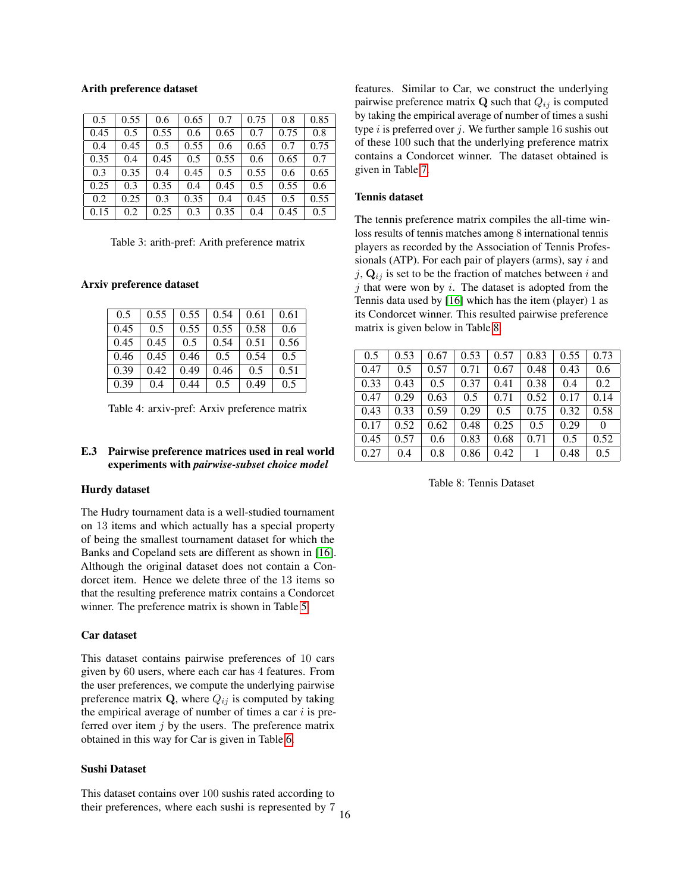#### Arith preference dataset

| 0.5  | 0.55 | 0.6  | 0.65 | 0.7  | 0.75 | 0.8  | 0.85 |
|------|------|------|------|------|------|------|------|
| 0.45 | 0.5  | 0.55 | 0.6  | 0.65 | 0.7  | 0.75 | 0.8  |
| 0.4  | 0.45 | 0.5  | 0.55 | 0.6  | 0.65 | 0.7  | 0.75 |
| 0.35 | 0.4  | 0.45 | 0.5  | 0.55 | 0.6  | 0.65 | 0.7  |
| 0.3  | 0.35 | 0.4  | 0.45 | 0.5  | 0.55 | 0.6  | 0.65 |
| 0.25 | 0.3  | 0.35 | 0.4  | 0.45 | 0.5  | 0.55 | 0.6  |
| 0.2  | 0.25 | 0.3  | 0.35 | 0.4  | 0.45 | 0.5  | 0.55 |
| 0.15 | 0.2  | 0.25 | 0.3  | 0.35 | 0.4  | 0.45 | 0.5  |

<span id="page-5-0"></span>Table 3: arith-pref: Arith preference matrix

#### Arxiv preference dataset

| 0.5  | 0.55 | 0.55 | 0.54 | 0.61 | 0.61 |
|------|------|------|------|------|------|
| 0.45 | 0.5  | 0.55 | 0.55 | 0.58 | 0.6  |
| 0.45 | 0.45 | 0.5  | 0.54 | 0.51 | 0.56 |
| 0.46 | 0.45 | 0.46 | 0.5  | 0.54 | 0.5  |
| 0.39 | 0.42 | 0.49 | 0.46 | 0.5  | 0.51 |
| 0.39 | 0.4  | 0.44 | 0.5  | 0.49 | 0.5  |

Table 4: arxiv-pref: Arxiv preference matrix

## E.3 Pairwise preference matrices used in real world experiments with *pairwise-subset choice model*

#### Hurdy dataset

The Hudry tournament data is a well-studied tournament on 13 items and which actually has a special property of being the smallest tournament dataset for which the Banks and Copeland sets are different as shown in [16]. Although the original dataset does not contain a Condorcet item. Hence we delete three of the 13 items so that the resulting preference matrix contains a Condorcet winner. The preference matrix is shown in Table [5.](#page-6-0)

#### Car dataset

This dataset contains pairwise preferences of 10 cars given by 60 users, where each car has 4 features. From the user preferences, we compute the underlying pairwise preference matrix  $Q$ , where  $Q_{ij}$  is computed by taking the empirical average of number of times a car  $i$  is preferred over item  $j$  by the users. The preference matrix obtained in this way for Car is given in Table [6.](#page-6-1)

### Sushi Dataset

This dataset contains over 100 sushis rated according to their preferences, where each sushi is represented by 7 16

features. Similar to Car, we construct the underlying pairwise preference matrix  $\bf{Q}$  such that  $Q_{ij}$  is computed by taking the empirical average of number of times a sushi type  $i$  is preferred over  $j$ . We further sample 16 sushis out of these 100 such that the underlying preference matrix contains a Condorcet winner. The dataset obtained is given in Table [7.](#page-6-2)

## Tennis dataset

The tennis preference matrix compiles the all-time winloss results of tennis matches among 8 international tennis players as recorded by the Association of Tennis Professionals (ATP). For each pair of players (arms), say  $i$  and j,  $\mathbf{Q}_{ij}$  is set to be the fraction of matches between i and  $j$  that were won by  $i$ . The dataset is adopted from the Tennis data used by [16] which has the item (player) 1 as its Condorcet winner. This resulted pairwise preference matrix is given below in Table [8.](#page-5-2)

<span id="page-5-1"></span>

| 0.5  | 0.53 | 0.67 | 0.53 | 0.57 | 0.83 | 0.55 | 0.73 |
|------|------|------|------|------|------|------|------|
| 0.47 | 0.5  | 0.57 | 0.71 | 0.67 | 0.48 | 0.43 | 0.6  |
| 0.33 | 0.43 | 0.5  | 0.37 | 0.41 | 0.38 | 0.4  | 0.2  |
| 0.47 | 0.29 | 0.63 | 0.5  | 0.71 | 0.52 | 0.17 | 0.14 |
| 0.43 | 0.33 | 0.59 | 0.29 | 0.5  | 0.75 | 0.32 | 0.58 |
| 0.17 | 0.52 | 0.62 | 0.48 | 0.25 | 0.5  | 0.29 | 0    |
| 0.45 | 0.57 | 0.6  | 0.83 | 0.68 | 0.71 | 0.5  | 0.52 |
| 0.27 | 0.4  | 0.8  | 0.86 | 0.42 |      | 0.48 | 0.5  |

## <span id="page-5-2"></span>Table 8: Tennis Dataset